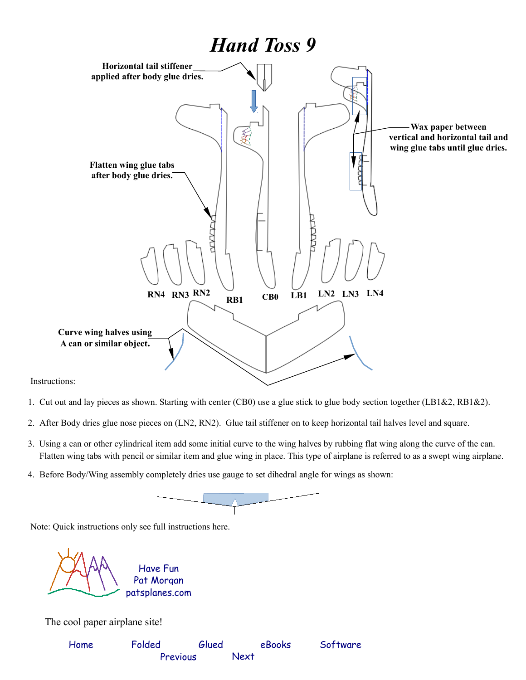

Instructions:

- 1. Cut out and lay pieces as shown. Starting with center (CB0) use a glue stick to glue body section together (LB1&2, RB1&2).
- 2. After Body dries glue nose pieces on (LN2, RN2). Glue tail stiffener on to keep horizontal tail halves level and square.
- 3. Using a can or other cylindrical item add some initial curve to the wing halves by rubbing flat wing along the curve of the can. Flatten wing tabs with pencil or similar item and glue wing in place. This type of airplane is referred to as a swept wing airplane.
- 4. Before Body/Wing assembly completely dries use gauge to set dihedral angle for wings as shown:



Note: Quick instructions only see full instructions here.

Have Fun

[patsplanes.com](http://patsplanes.com/index.html) Pat Morgan

The cool paper airplane site!

| Home | Folded   | Glued |      | eBooks | Software |
|------|----------|-------|------|--------|----------|
|      | Previous |       | Next |        |          |